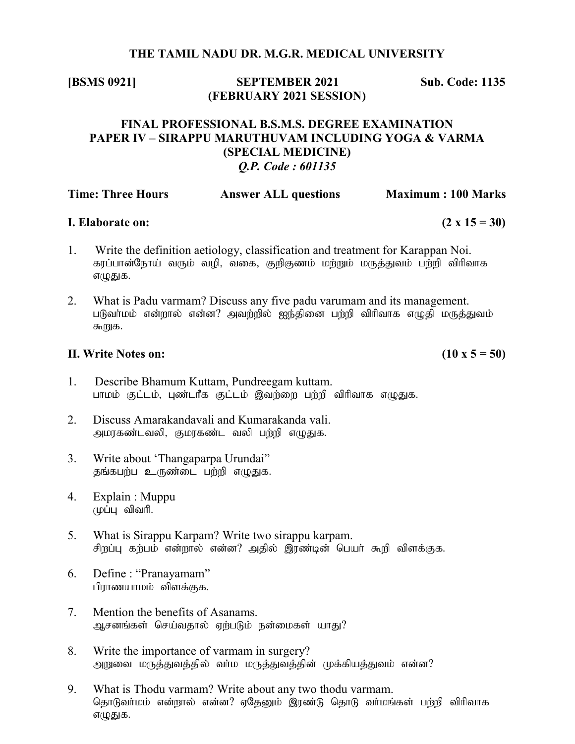#### THE TAMIL NADU DR. M.G.R. MEDICAL UNIVERSITY

[BSMS 0921] SEPTEMBER 2021 Sub. Code: 1135 (FEBRUARY 2021 SESSION)

# FINAL PROFESSIONAL B.S.M.S. DEGREE EXAMINATION PAPER IV – SIRAPPU MARUTHUVAM INCLUDING YOGA & VARMA (SPECIAL MEDICINE) Q.P. Code : 601135

| <b>Time: Three Hours</b> | <b>Answer ALL questions</b> | <b>Maximum: 100 Marks</b> |
|--------------------------|-----------------------------|---------------------------|
|                          |                             |                           |

## **I.** Elaborate on:  $(2 \times 15 = 30)$

- 1. Write the definition aetiology, classification and treatment for Karappan Noi. கரப்பான்நோய் வரும் வழி, வகை, குறிகுணம் மற்றும் மருத்துவம் பற்றி விரிவாக எழுதுக.
- 2. What is Padu varmam? Discuss any five padu varumam and its management. படுவா்மம் என்றால் என்ன? அவற்றில் ஐந்தினை பற்றி விரிவாக எழுதி மருத்துவம் கூறுக.

# II. Write Notes on:  $(10 \times 5 = 50)$

- 1. Describe Bhamum Kuttam, Pundreegam kuttam. பாமம் குட்டம், புண்டரீக குட்டம் இவர்ளை பர்ரி விரிவாக எழுதுக.
- 2. Discuss Amarakandavali and Kumarakanda vali. அமரகண்டவலி, குமரகண்ட வலி பற்றி எழுதுக.
- 3. Write about 'Thangaparpa Urundai" கங்கபர்ப உருண்டை பர்ரி எமுகுக.
- 4. Explain : Muppu  $(\upmu\dot{\mathsf{L}}\mathsf{L}\mathsf{L})$  விவரி.
- 5. What is Sirappu Karpam? Write two sirappu karpam. சிறப்பு கற்பம் என்றால் என்ன? அதில் இரண்டின் பெயர் கூறி விளக்குக.
- 6. Define : "Pranayamam" பிராணயாமம் விளக்குக.
- 7. Mention the benefits of Asanams. ஆசனங்கள் செய்வதால் ஏற்படும் நன்மைகள் யாகு?
- 8. Write the importance of varmam in surgery? அறுவை மருத்துவத்தில் வா்ம மருத்துவத்தின் முக்கியத்துவம் என்ன?
- 9. What is Thodu varmam? Write about any two thodu varmam. தொடுவா்மம் என்றால் என்ன? ஏதேனும் இரண்டு தொடு வா்மங்கள் பற்றி விாிவாக எழுதுக.